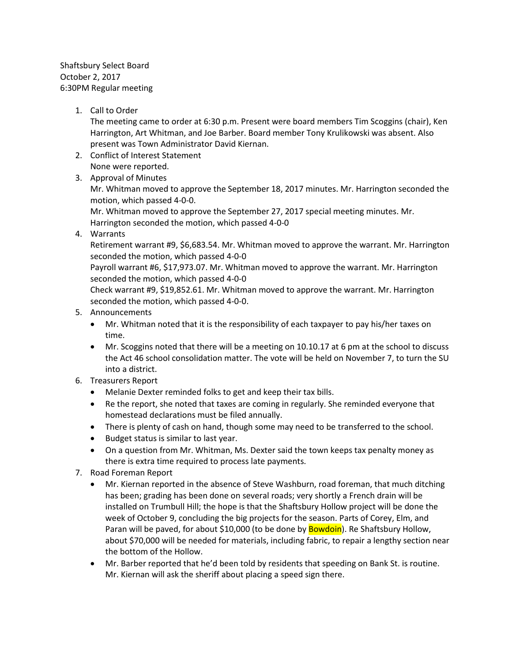Shaftsbury Select Board October 2, 2017 6:30PM Regular meeting

1. Call to Order

The meeting came to order at 6:30 p.m. Present were board members Tim Scoggins (chair), Ken Harrington, Art Whitman, and Joe Barber. Board member Tony Krulikowski was absent. Also present was Town Administrator David Kiernan.

- 2. Conflict of Interest Statement None were reported.
- 3. Approval of Minutes

Mr. Whitman moved to approve the September 18, 2017 minutes. Mr. Harrington seconded the motion, which passed 4-0-0.

Mr. Whitman moved to approve the September 27, 2017 special meeting minutes. Mr. Harrington seconded the motion, which passed 4-0-0

4. Warrants

Retirement warrant #9, \$6,683.54. Mr. Whitman moved to approve the warrant. Mr. Harrington seconded the motion, which passed 4-0-0

Payroll warrant #6, \$17,973.07. Mr. Whitman moved to approve the warrant. Mr. Harrington seconded the motion, which passed 4-0-0

Check warrant #9, \$19,852.61. Mr. Whitman moved to approve the warrant. Mr. Harrington seconded the motion, which passed 4-0-0.

- 5. Announcements
	- Mr. Whitman noted that it is the responsibility of each taxpayer to pay his/her taxes on time.
	- Mr. Scoggins noted that there will be a meeting on 10.10.17 at 6 pm at the school to discuss the Act 46 school consolidation matter. The vote will be held on November 7, to turn the SU into a district.
- 6. Treasurers Report
	- Melanie Dexter reminded folks to get and keep their tax bills.
	- Re the report, she noted that taxes are coming in regularly. She reminded everyone that homestead declarations must be filed annually.
	- There is plenty of cash on hand, though some may need to be transferred to the school.
	- Budget status is similar to last year.
	- On a question from Mr. Whitman, Ms. Dexter said the town keeps tax penalty money as there is extra time required to process late payments.
- 7. Road Foreman Report
	- Mr. Kiernan reported in the absence of Steve Washburn, road foreman, that much ditching has been; grading has been done on several roads; very shortly a French drain will be installed on Trumbull Hill; the hope is that the Shaftsbury Hollow project will be done the week of October 9, concluding the big projects for the season. Parts of Corey, Elm, and Paran will be paved, for about \$10,000 (to be done by **Bowdoin**). Re Shaftsbury Hollow, about \$70,000 will be needed for materials, including fabric, to repair a lengthy section near the bottom of the Hollow.
	- Mr. Barber reported that he'd been told by residents that speeding on Bank St. is routine. Mr. Kiernan will ask the sheriff about placing a speed sign there.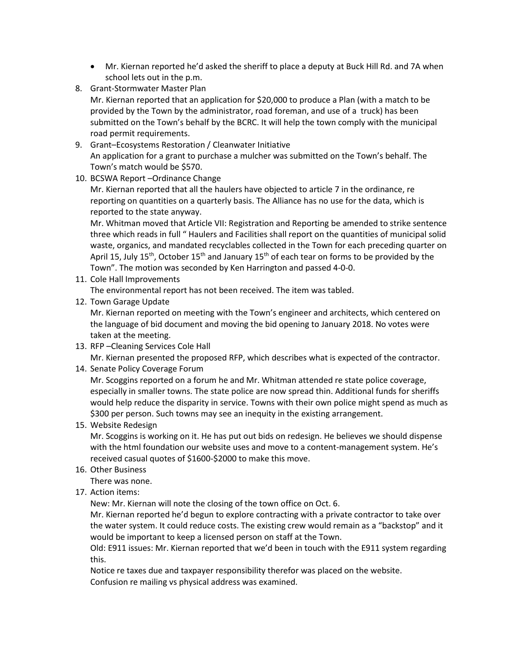- Mr. Kiernan reported he'd asked the sheriff to place a deputy at Buck Hill Rd. and 7A when school lets out in the p.m.
- 8. Grant-Stormwater Master Plan

Mr. Kiernan reported that an application for \$20,000 to produce a Plan (with a match to be provided by the Town by the administrator, road foreman, and use of a truck) has been submitted on the Town's behalf by the BCRC. It will help the town comply with the municipal road permit requirements.

- 9. Grant–Ecosystems Restoration / Cleanwater Initiative An application for a grant to purchase a mulcher was submitted on the Town's behalf. The Town's match would be \$570.
- 10. BCSWA Report –Ordinance Change

Mr. Kiernan reported that all the haulers have objected to article 7 in the ordinance, re reporting on quantities on a quarterly basis. The Alliance has no use for the data, which is reported to the state anyway.

Mr. Whitman moved that Article VII: Registration and Reporting be amended to strike sentence three which reads in full " Haulers and Facilities shall report on the quantities of municipal solid waste, organics, and mandated recyclables collected in the Town for each preceding quarter on April 15, July 15<sup>th</sup>, October 15<sup>th</sup> and January 15<sup>th</sup> of each tear on forms to be provided by the Town". The motion was seconded by Ken Harrington and passed 4-0-0.

11. Cole Hall Improvements

The environmental report has not been received. The item was tabled.

12. Town Garage Update

Mr. Kiernan reported on meeting with the Town's engineer and architects, which centered on the language of bid document and moving the bid opening to January 2018. No votes were taken at the meeting.

13. RFP –Cleaning Services Cole Hall

Mr. Kiernan presented the proposed RFP, which describes what is expected of the contractor.

## 14. Senate Policy Coverage Forum

Mr. Scoggins reported on a forum he and Mr. Whitman attended re state police coverage, especially in smaller towns. The state police are now spread thin. Additional funds for sheriffs would help reduce the disparity in service. Towns with their own police might spend as much as \$300 per person. Such towns may see an inequity in the existing arrangement.

## 15. Website Redesign

Mr. Scoggins is working on it. He has put out bids on redesign. He believes we should dispense with the html foundation our website uses and move to a content-management system. He's received casual quotes of \$1600-\$2000 to make this move.

16. Other Business

There was none.

17. Action items:

New: Mr. Kiernan will note the closing of the town office on Oct. 6.

Mr. Kiernan reported he'd begun to explore contracting with a private contractor to take over the water system. It could reduce costs. The existing crew would remain as a "backstop" and it would be important to keep a licensed person on staff at the Town.

Old: E911 issues: Mr. Kiernan reported that we'd been in touch with the E911 system regarding this.

Notice re taxes due and taxpayer responsibility therefor was placed on the website. Confusion re mailing vs physical address was examined.